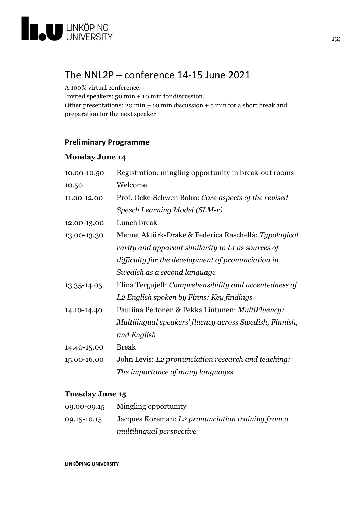

## The NNL2P – conference 14-15 June 2021

A 100% virtual conference.

Invited speakers: 50 min + 10 min for discussion.

Other presentations: 20 min + 10 min discussion + 5 min for a short break and preparation for the next speaker

## **Preliminary Programme**

## **Monday June 14**

| 10.00-10.50 | Registration; mingling opportunity in break-out rooms   |
|-------------|---------------------------------------------------------|
| 10.50       | Welcome                                                 |
| 11.00-12.00 | Prof. Ocke-Schwen Bohn: Core aspects of the revised     |
|             | Speech Learning Model (SLM-r)                           |
| 12.00-13.00 | Lunch break                                             |
| 13.00-13.30 | Memet Aktürk-Drake & Federica Raschellà: Typological    |
|             | rarity and apparent similarity to L1 as sources of      |
|             | difficulty for the development of pronunciation in      |
|             | Swedish as a second language                            |
| 13.35-14.05 | Elina Tergujeff: Comprehensibility and accentedness of  |
|             | L2 English spoken by Finns: Key findings                |
| 14.10-14.40 | Pauliina Peltonen & Pekka Lintunen: MultiFluency:       |
|             | Multilingual speakers' fluency across Swedish, Finnish, |
|             | and English                                             |
| 14.40-15.00 | <b>Break</b>                                            |
| 15.00-16.00 | John Levis: L2 pronunciation research and teaching:     |
|             | The importance of many languages                        |
|             |                                                         |

## **Tuesday June 15**

| 09.00-09.15 | Mingling opportunity                              |
|-------------|---------------------------------------------------|
| 09.15-10.15 | Jacques Koreman: L2 pronunciation training from a |
|             | multilingual perspective                          |